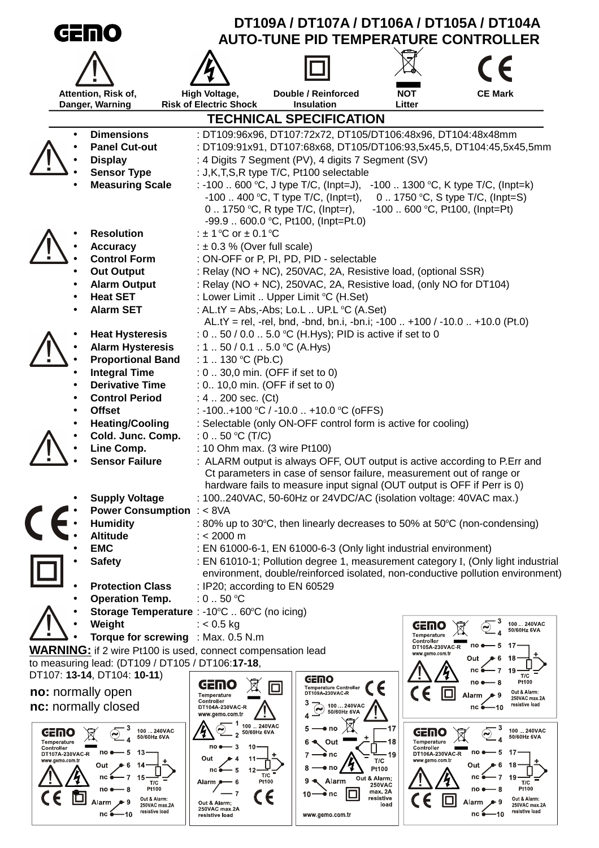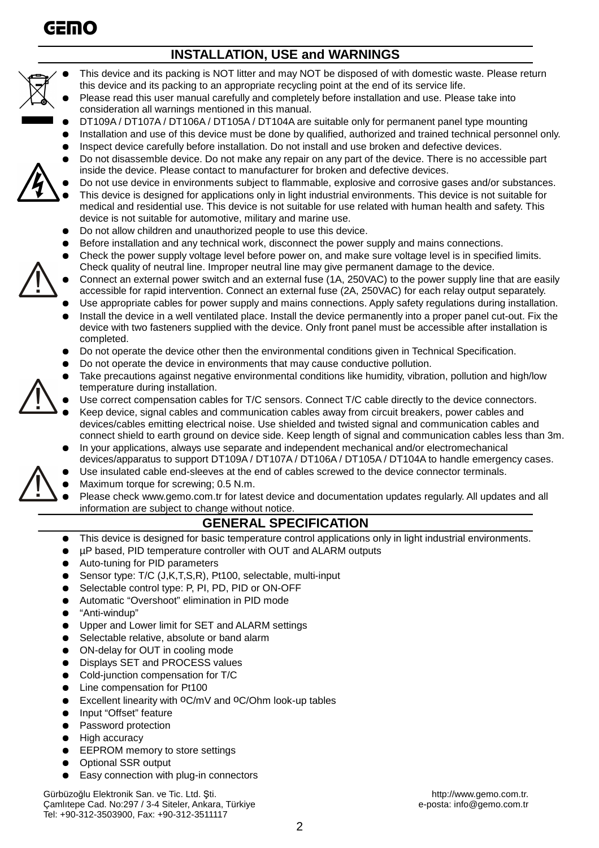

### **INSTALLATION, USE and WARNINGS**



- This device and its packing is NOT litter and may NOT be disposed of with domestic waste. Please return this device and its packing to an appropriate recycling point at the end of its service life.
- Please read this user manual carefully and completely before installation and use. Please take into consideration all warnings mentioned in this manual.
- DT109A / DT107A / DT106A / DT105A / DT104A are suitable only for permanent panel type mounting
- Installation and use of this device must be done by qualified, authorized and trained technical personnel only.
- Inspect device carefully before installation. Do not install and use broken and defective devices.
- Do not disassemble device. Do not make any repair on any part of the device. There is no accessible part inside the device. Please contact to manufacturer for broken and defective devices.
- Do not use device in environments subject to flammable, explosive and corrosive gases and/or substances. This device is designed for applications only in light industrial environments. This device is not suitable for medical and residential use. This device is not suitable for use related with human health and safety. This device is not suitable for automotive, military and marine use.
- Do not allow children and unauthorized people to use this device.
- Before installation and any technical work, disconnect the power supply and mains connections.
- Check the power supply voltage level before power on, and make sure voltage level is in specified limits. Check quality of neutral line. Improper neutral line may give permanent damage to the device.
- Connect an external power switch and an external fuse (1A, 250VAC) to the power supply line that are easily accessible for rapid intervention. Connect an external fuse (2A, 250VAC) for each relay output separately.
- Use appropriate cables for power supply and mains connections. Apply safety regulations during installation.
- Install the device in a well ventilated place. Install the device permanently into a proper panel cut-out. Fix the device with two fasteners supplied with the device. Only front panel must be accessible after installation is completed.
- Do not operate the device other then the environmental conditions given in Technical Specification.
- Do not operate the device in environments that may cause conductive pollution.
- Take precautions against negative environmental conditions like humidity, vibration, pollution and high/low temperature during installation.
- Use correct compensation cables for T/C sensors. Connect T/C cable directly to the device connectors.
- Keep device, signal cables and communication cables away from circuit breakers, power cables and devices/cables emitting electrical noise. Use shielded and twisted signal and communication cables and connect shield to earth ground on device side. Keep length of signal and communication cables less than 3m.
- In your applications, always use separate and independent mechanical and/or electromechanical devices/apparatus to support DT109A / DT107A / DT106A / DT105A / DT104A to handle emergency cases.
- Use insulated cable end-sleeves at the end of cables screwed to the device connector terminals.
- Maximum torque for screwing; 0.5 N.m.
- Please check www.gemo.com.tr for latest device and documentation updates regularly. All updates and all information are subject to change without notice.

### **GENERAL SPECIFICATION**

- This device is designed for basic temperature control applications only in light industrial environments.
- µP based, PID temperature controller with OUT and ALARM outputs
- Auto-tuning for PID parameters
- Sensor type: T/C (J,K,T,S,R), Pt100, selectable, multi-input
- Selectable control type: P, PI, PD, PID or ON-OFF
- Automatic "Overshoot" elimination in PID mode
- "Anti-windup"
- Upper and Lower limit for SET and ALARM settings
- Selectable relative, absolute or band alarm
- ON-delay for OUT in cooling mode
- Displays SET and PROCESS values
- Cold-junction compensation for T/C
- Line compensation for Pt100
- Excellent linearity with <sup>o</sup>C/mV and <sup>o</sup>C/Ohm look-up tables
- Input "Offset" feature
- Password protection
- **High accuracy**
- EEPROM memory to store settings
- **Optional SSR output**
- Easy connection with plug-in connectors

Gürbüzoğlu Elektronik San. ve Tic. Ltd. Şti. http://www.gemo.com.tr. http://www.gemo.com.tr. http://www.gemo.com.tr<br>Camlitepe Cad. No:297 / 3-4 Siteler, Ankara, Türkiye betalerinin betalerinin e-posta: info@gemo.com.tr Camlıtepe Cad. No:297 / 3-4 Siteler, Ankara, Türkiye Tel: +90-312-3503900, Fax: +90-312-3511117

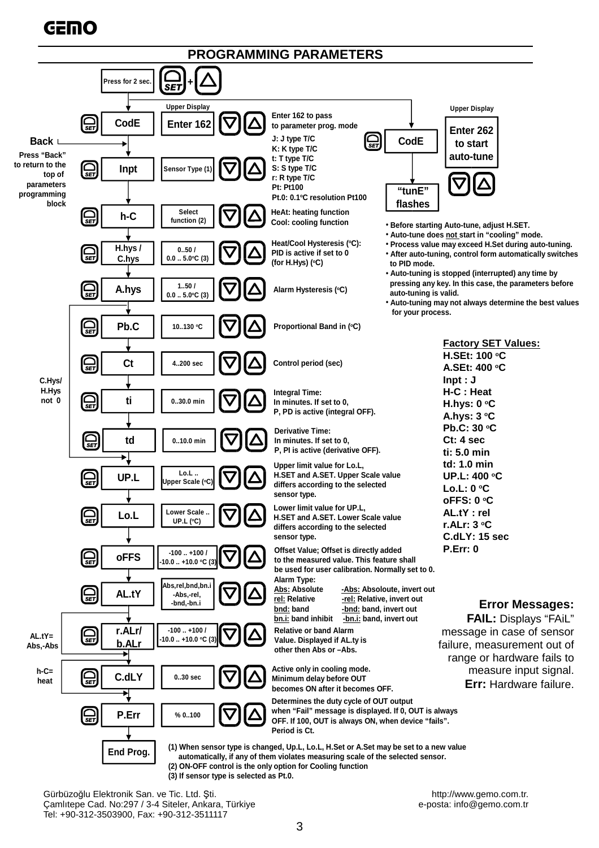# **GEMO**



Gürbüzoğlu Elektronik San. ve Tic. Ltd. Şti. http://www.gemo.com.tr. http://www.gemo.com.tr. http://www.gemo.com.tr<br>Camlitepe Cad. No:297 / 3-4 Siteler, Ankara, Türkiye betalerinin betalerinin e-posta: info@gemo.com.tr Çamlıtepe Cad. No:297 / 3-4 Siteler, Ankara, Türkive Tel: +90-312-3503900, Fax: +90-312-3511117